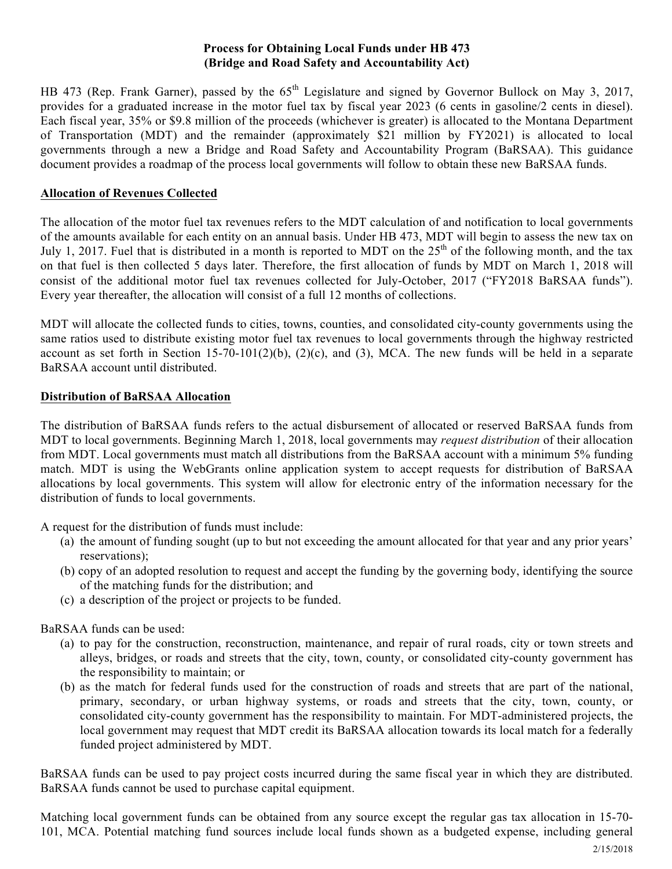# **Process for Obtaining Local Funds under HB 473 (Bridge and Road Safety and Accountability Act)**

HB 473 (Rep. Frank Garner), passed by the  $65<sup>th</sup>$  Legislature and signed by Governor Bullock on May 3, 2017, provides for a graduated increase in the motor fuel tax by fiscal year 2023 (6 cents in gasoline/2 cents in diesel). Each fiscal year, 35% or \$9.8 million of the proceeds (whichever is greater) is allocated to the Montana Department of Transportation (MDT) and the remainder (approximately \$21 million by FY2021) is allocated to local governments through a new a Bridge and Road Safety and Accountability Program (BaRSAA). This guidance document provides a roadmap of the process local governments will follow to obtain these new BaRSAA funds.

# **Allocation of Revenues Collected**

The allocation of the motor fuel tax revenues refers to the MDT calculation of and notification to local governments of the amounts available for each entity on an annual basis. Under HB 473, MDT will begin to assess the new tax on July 1, 2017. Fuel that is distributed in a month is reported to MDT on the  $25<sup>th</sup>$  of the following month, and the tax on that fuel is then collected 5 days later. Therefore, the first allocation of funds by MDT on March 1, 2018 will consist of the additional motor fuel tax revenues collected for July-October, 2017 ("FY2018 BaRSAA funds"). Every year thereafter, the allocation will consist of a full 12 months of collections.

MDT will allocate the collected funds to cities, towns, counties, and consolidated city-county governments using the same ratios used to distribute existing motor fuel tax revenues to local governments through the highway restricted account as set forth in Section 15-70-101(2)(b), (2)(c), and (3), MCA. The new funds will be held in a separate BaRSAA account until distributed.

## **Distribution of BaRSAA Allocation**

The distribution of BaRSAA funds refers to the actual disbursement of allocated or reserved BaRSAA funds from MDT to local governments. Beginning March 1, 2018, local governments may *request distribution* of their allocation from MDT. Local governments must match all distributions from the BaRSAA account with a minimum 5% funding match. MDT is using the WebGrants online application system to accept requests for distribution of BaRSAA allocations by local governments. This system will allow for electronic entry of the information necessary for the distribution of funds to local governments.

A request for the distribution of funds must include:

- (a) the amount of funding sought (up to but not exceeding the amount allocated for that year and any prior years' reservations);
- (b) copy of an adopted resolution to request and accept the funding by the governing body, identifying the source of the matching funds for the distribution; and
- (c) a description of the project or projects to be funded.

BaRSAA funds can be used:

- (a) to pay for the construction, reconstruction, maintenance, and repair of rural roads, city or town streets and alleys, bridges, or roads and streets that the city, town, county, or consolidated city-county government has the responsibility to maintain; or
- (b) as the match for federal funds used for the construction of roads and streets that are part of the national, primary, secondary, or urban highway systems, or roads and streets that the city, town, county, or consolidated city-county government has the responsibility to maintain. For MDT-administered projects, the local government may request that MDT credit its BaRSAA allocation towards its local match for a federally funded project administered by MDT.

BaRSAA funds can be used to pay project costs incurred during the same fiscal year in which they are distributed. BaRSAA funds cannot be used to purchase capital equipment.

Matching local government funds can be obtained from any source except the regular gas tax allocation in 15-70- 101, MCA. Potential matching fund sources include local funds shown as a budgeted expense, including general